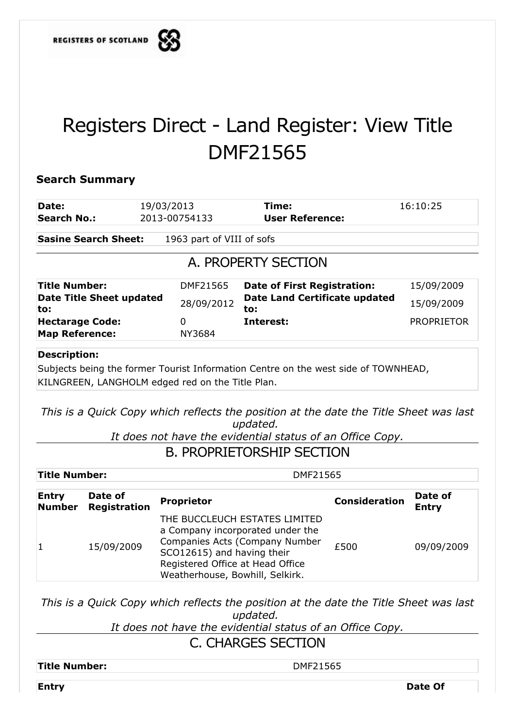

## Registers Direct - Land Register: View Title DMF21565

## **Search Summary**

| Date:<br><b>Search No.:</b>                     |                                 | 19/03/2013                                                                                        | Time:                                                                                                       | 16:10:25                |  |  |  |  |  |  |
|-------------------------------------------------|---------------------------------|---------------------------------------------------------------------------------------------------|-------------------------------------------------------------------------------------------------------------|-------------------------|--|--|--|--|--|--|
|                                                 |                                 | 2013-00754133                                                                                     | <b>User Reference:</b>                                                                                      |                         |  |  |  |  |  |  |
|                                                 | <b>Sasine Search Sheet:</b>     | 1963 part of VIII of sofs                                                                         |                                                                                                             |                         |  |  |  |  |  |  |
| A. PROPERTY SECTION                             |                                 |                                                                                                   |                                                                                                             |                         |  |  |  |  |  |  |
| <b>Title Number:</b>                            |                                 | DMF21565                                                                                          | <b>Date of First Registration:</b>                                                                          |                         |  |  |  |  |  |  |
| to:                                             | <b>Date Title Sheet updated</b> | 28/09/2012                                                                                        | <b>Date Land Certificate updated</b><br>to:                                                                 | 15/09/2009              |  |  |  |  |  |  |
| <b>Hectarage Code:</b><br><b>Map Reference:</b> |                                 | $\Omega$<br>NY3684                                                                                | Interest:                                                                                                   | <b>PROPRIETOR</b>       |  |  |  |  |  |  |
|                                                 |                                 | KILNGREEN, LANGHOLM edged red on the Title Plan.                                                  | This is a Quick Copy which reflects the position at the date the Title Sheet was last<br>updated.           |                         |  |  |  |  |  |  |
|                                                 |                                 |                                                                                                   | It does not have the evidential status of an Office Copy.<br><b>B. PROPRIETORSHIP SECTION</b>               |                         |  |  |  |  |  |  |
| <b>Title Number:</b>                            |                                 | DMF21565                                                                                          |                                                                                                             |                         |  |  |  |  |  |  |
| <b>Entry</b><br><b>Number</b>                   | Date of<br><b>Registration</b>  | <b>Proprietor</b>                                                                                 | <b>Consideration</b>                                                                                        | Date of<br><b>Entry</b> |  |  |  |  |  |  |
| 1                                               | 15/09/2009                      | SCO12615) and having their<br>Registered Office at Head Office<br>Weatherhouse, Bowhill, Selkirk. | THE BUCCLEUCH ESTATES LIMITED<br>a Company incorporated under the<br>Companies Acts (Company Number<br>£500 | 09/09/2009              |  |  |  |  |  |  |

*This is a Quick Copy which reflects the position at the date the Title Sheet was last updated.* 

*It does not have the evidential status of an Office Copy.*

C. CHARGES SECTION

Title Number:  $DMF21565$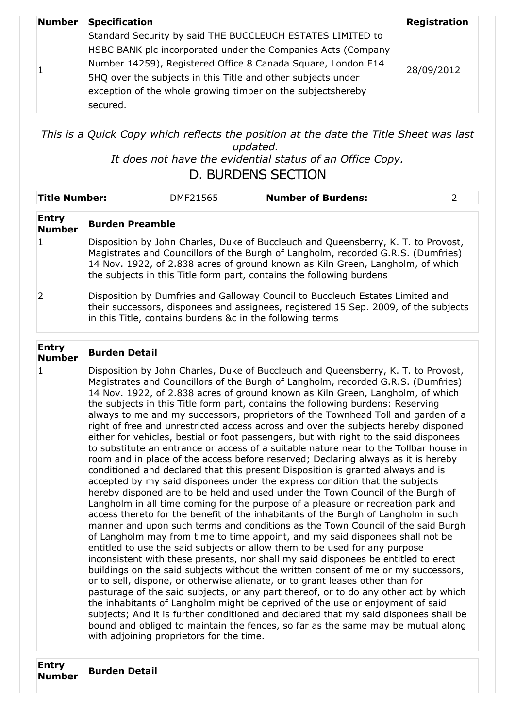|  | <b>Number Specification</b>                                  | <b>Registration</b> |  |
|--|--------------------------------------------------------------|---------------------|--|
|  | Standard Security by said THE BUCCLEUCH ESTATES LIMITED to   |                     |  |
|  | HSBC BANK plc incorporated under the Companies Acts (Company | 28/09/2012          |  |
|  | Number 14259), Registered Office 8 Canada Square, London E14 |                     |  |
|  | 5HQ over the subjects in this Title and other subjects under |                     |  |
|  | exception of the whole growing timber on the subjectshereby  |                     |  |
|  | secured.                                                     |                     |  |

*This is a Quick Copy which reflects the position at the date the Title Sheet was last updated.* 

*It does not have the evidential status of an Office Copy.*

| <b>D. BURDENS SECTION</b> |
|---------------------------|
|---------------------------|

| <b>Title Number:</b>          |                                                                                                                                                                                                                                                                                                                                 | DMF21565                                                                                                                                                                                                                          | <b>Number of Burdens:</b>                                                                                                                                                                                                                                                                                                                                                                                                                                                                                                                                                                                                                                                                                                                                                                                                                                                                                                                                                                                                                                                                                                                                                                                                                                                                                                                                                                                                                                                                                                                                                                                                                                                                                                                                                                                                                                                                                                                                                                                                                                                                     | $\overline{2}$ |  |  |  |
|-------------------------------|---------------------------------------------------------------------------------------------------------------------------------------------------------------------------------------------------------------------------------------------------------------------------------------------------------------------------------|-----------------------------------------------------------------------------------------------------------------------------------------------------------------------------------------------------------------------------------|-----------------------------------------------------------------------------------------------------------------------------------------------------------------------------------------------------------------------------------------------------------------------------------------------------------------------------------------------------------------------------------------------------------------------------------------------------------------------------------------------------------------------------------------------------------------------------------------------------------------------------------------------------------------------------------------------------------------------------------------------------------------------------------------------------------------------------------------------------------------------------------------------------------------------------------------------------------------------------------------------------------------------------------------------------------------------------------------------------------------------------------------------------------------------------------------------------------------------------------------------------------------------------------------------------------------------------------------------------------------------------------------------------------------------------------------------------------------------------------------------------------------------------------------------------------------------------------------------------------------------------------------------------------------------------------------------------------------------------------------------------------------------------------------------------------------------------------------------------------------------------------------------------------------------------------------------------------------------------------------------------------------------------------------------------------------------------------------------|----------------|--|--|--|
| <b>Entry</b><br><b>Number</b> | <b>Burden Preamble</b>                                                                                                                                                                                                                                                                                                          |                                                                                                                                                                                                                                   |                                                                                                                                                                                                                                                                                                                                                                                                                                                                                                                                                                                                                                                                                                                                                                                                                                                                                                                                                                                                                                                                                                                                                                                                                                                                                                                                                                                                                                                                                                                                                                                                                                                                                                                                                                                                                                                                                                                                                                                                                                                                                               |                |  |  |  |
| $\mathbf{1}$                  | Disposition by John Charles, Duke of Buccleuch and Queensberry, K. T. to Provost,<br>Magistrates and Councillors of the Burgh of Langholm, recorded G.R.S. (Dumfries)<br>14 Nov. 1922, of 2.838 acres of ground known as Kiln Green, Langholm, of which<br>the subjects in this Title form part, contains the following burdens |                                                                                                                                                                                                                                   |                                                                                                                                                                                                                                                                                                                                                                                                                                                                                                                                                                                                                                                                                                                                                                                                                                                                                                                                                                                                                                                                                                                                                                                                                                                                                                                                                                                                                                                                                                                                                                                                                                                                                                                                                                                                                                                                                                                                                                                                                                                                                               |                |  |  |  |
| 2                             |                                                                                                                                                                                                                                                                                                                                 | Disposition by Dumfries and Galloway Council to Buccleuch Estates Limited and<br>their successors, disponees and assignees, registered 15 Sep. 2009, of the subjects<br>in this Title, contains burdens &c in the following terms |                                                                                                                                                                                                                                                                                                                                                                                                                                                                                                                                                                                                                                                                                                                                                                                                                                                                                                                                                                                                                                                                                                                                                                                                                                                                                                                                                                                                                                                                                                                                                                                                                                                                                                                                                                                                                                                                                                                                                                                                                                                                                               |                |  |  |  |
| <b>Entry</b><br><b>Number</b> | <b>Burden Detail</b>                                                                                                                                                                                                                                                                                                            |                                                                                                                                                                                                                                   |                                                                                                                                                                                                                                                                                                                                                                                                                                                                                                                                                                                                                                                                                                                                                                                                                                                                                                                                                                                                                                                                                                                                                                                                                                                                                                                                                                                                                                                                                                                                                                                                                                                                                                                                                                                                                                                                                                                                                                                                                                                                                               |                |  |  |  |
| $\mathbf 1$                   |                                                                                                                                                                                                                                                                                                                                 | with adjoining proprietors for the time.                                                                                                                                                                                          | Disposition by John Charles, Duke of Buccleuch and Queensberry, K. T. to Provost,<br>Magistrates and Councillors of the Burgh of Langholm, recorded G.R.S. (Dumfries)<br>14 Nov. 1922, of 2.838 acres of ground known as Kiln Green, Langholm, of which<br>the subjects in this Title form part, contains the following burdens: Reserving<br>always to me and my successors, proprietors of the Townhead Toll and garden of a<br>right of free and unrestricted access across and over the subjects hereby disponed<br>either for vehicles, bestial or foot passengers, but with right to the said disponees<br>to substitute an entrance or access of a suitable nature near to the Tollbar house in<br>room and in place of the access before reserved; Declaring always as it is hereby<br>conditioned and declared that this present Disposition is granted always and is<br>accepted by my said disponees under the express condition that the subjects<br>hereby disponed are to be held and used under the Town Council of the Burgh of<br>Langholm in all time coming for the purpose of a pleasure or recreation park and<br>access thereto for the benefit of the inhabitants of the Burgh of Langholm in such<br>manner and upon such terms and conditions as the Town Council of the said Burgh<br>of Langholm may from time to time appoint, and my said disponees shall not be<br>entitled to use the said subjects or allow them to be used for any purpose<br>inconsistent with these presents, nor shall my said disponees be entitled to erect<br>buildings on the said subjects without the written consent of me or my successors,<br>or to sell, dispone, or otherwise alienate, or to grant leases other than for<br>pasturage of the said subjects, or any part thereof, or to do any other act by which<br>the inhabitants of Langholm might be deprived of the use or enjoyment of said<br>subjects; And it is further conditioned and declared that my said disponees shall be<br>bound and obliged to maintain the fences, so far as the same may be mutual along |                |  |  |  |